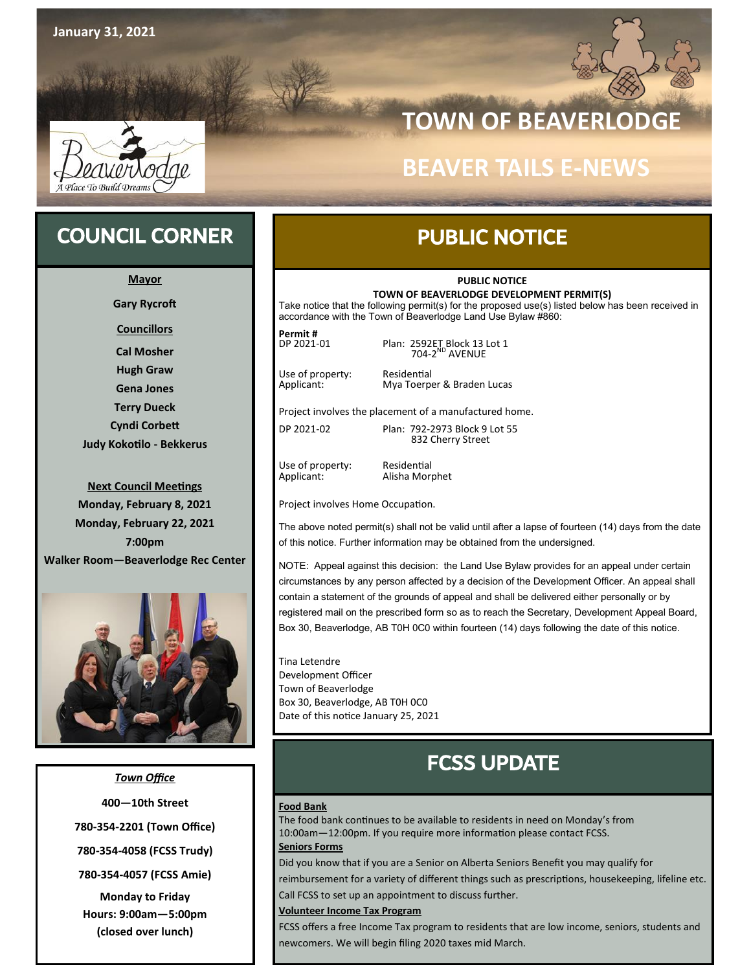

## **TOWN OF BEAVERLODGE**

## **BEAVER TAILS E-NEWS**

## COUNCIL CORNER

**Mayor**

**Gary Rycroft**

**Councillors**

**Cal Mosher Hugh Graw Gena Jones Terry Dueck Cyndi Corbett Judy Kokotilo - Bekkerus**

**Next Council Meetings Monday, February 8, 2021 Monday, February 22, 2021 7:00pm Walker Room—Beaverlodge Rec Center**



*Town Office* **400—10th Street 780-354-2201 (Town Office) 780-354-4058 (FCSS Trudy) 780-354-4057 (FCSS Amie) Monday to Friday Hours: 9:00am—5:00pm (closed over lunch)**

### PUBLIC NOTICE

#### **PUBLIC NOTICE**

**TOWN OF BEAVERLODGE DEVELOPMENT PERMIT(S)** Take notice that the following permit(s) for the proposed use(s) listed below has been received in

accordance with the Town of Beaverlodge Land Use Bylaw #860:

**Permit #** DP 2021-01 **Plan: 2592ET Block 13 Lot 1** 

Use of property: Residential<br>
Applicant: Mya Toerpe

704-2 ND AVENUE

Mya Toerper & Braden Lucas

Project involves the placement of a manufactured home.

DP 2021-02 Plan: 792-2973 Block 9 Lot 55 832 Cherry Street

Use of property: Residential<br>Applicant: Alisha Morp

Alisha Morphet

Project involves Home Occupation.

The above noted permit(s) shall not be valid until after a lapse of fourteen (14) days from the date of this notice. Further information may be obtained from the undersigned.

NOTE: Appeal against this decision: the Land Use Bylaw provides for an appeal under certain circumstances by any person affected by a decision of the Development Officer. An appeal shall contain a statement of the grounds of appeal and shall be delivered either personally or by registered mail on the prescribed form so as to reach the Secretary, Development Appeal Board, Box 30, Beaverlodge, AB T0H 0C0 within fourteen (14) days following the date of this notice.

Tina Letendre Development Officer Town of Beaverlodge Box 30, Beaverlodge, AB T0H 0C0 Date of this notice January 25, 2021

## FCSS UPDATE

#### **Food Bank**

The food bank continues to be available to residents in need on Monday's from 10:00am—12:00pm. If you require more information please contact FCSS.

#### **Seniors Forms**

Did you know that if you are a Senior on Alberta Seniors Benefit you may qualify for

reimbursement for a variety of different things such as prescriptions, housekeeping, lifeline etc. Call FCSS to set up an appointment to discuss further.

#### **Volunteer Income Tax Program**

FCSS offers a free Income Tax program to residents that are low income, seniors, students and newcomers. We will begin filing 2020 taxes mid March.